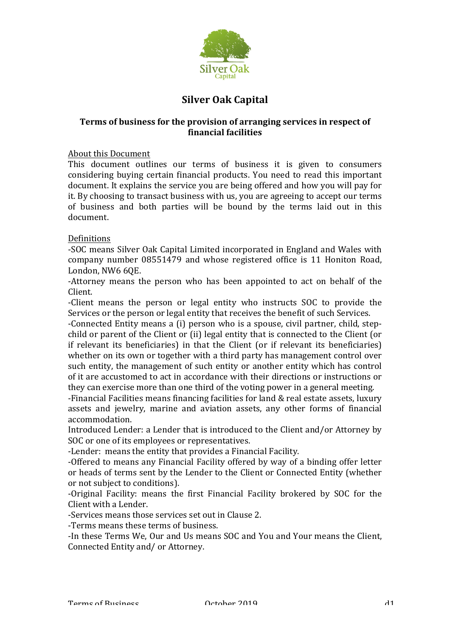

# **Silver Oak Capital**

# **Terms of business for the provision of arranging services in respect of financial facilities**

#### About this Document

This document outlines our terms of business it is given to consumers considering buying certain financial products. You need to read this important document. It explains the service you are being offered and how you will pay for it. By choosing to transact business with us, you are agreeing to accept our terms of business and both parties will be bound by the terms laid out in this document.

#### Definitions

-SOC means Silver Oak Capital Limited incorporated in England and Wales with company number 08551479 and whose registered office is 11 Honiton Road, London, NW6 60E.

-Attorney means the person who has been appointed to act on behalf of the Client.

-Client means the person or legal entity who instructs SOC to provide the Services or the person or legal entity that receives the benefit of such Services.

-Connected Entity means a (i) person who is a spouse, civil partner, child, stepchild or parent of the Client or (ii) legal entity that is connected to the Client (or if relevant its beneficiaries) in that the Client (or if relevant its beneficiaries) whether on its own or together with a third party has management control over such entity, the management of such entity or another entity which has control of it are accustomed to act in accordance with their directions or instructions or they can exercise more than one third of the voting power in a general meeting.

-Financial Facilities means financing facilities for land & real estate assets, luxury assets and jewelry, marine and aviation assets, any other forms of financial accommodation. 

Introduced Lender: a Lender that is introduced to the Client and/or Attorney by SOC or one of its employees or representatives.

-Lender: means the entity that provides a Financial Facility.

-Offered to means any Financial Facility offered by way of a binding offer letter or heads of terms sent by the Lender to the Client or Connected Entity (whether or not subject to conditions).

-Original Facility: means the first Financial Facility brokered by SOC for the Client with a Lender.

-Services means those services set out in Clause 2.

-Terms means these terms of business.

-In these Terms We, Our and Us means SOC and You and Your means the Client, Connected Entity and/ or Attorney.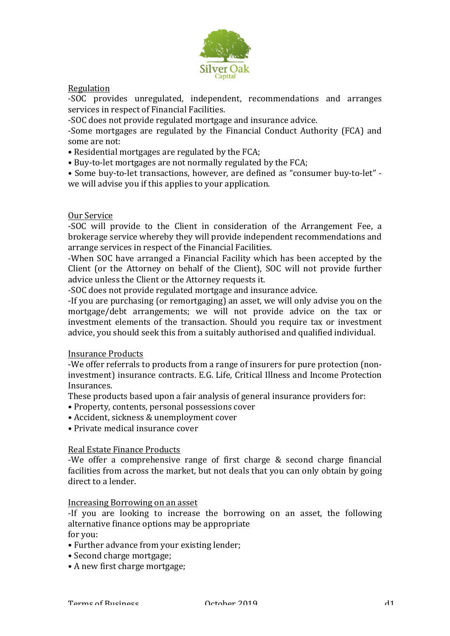

## Regulation

-SOC provides unregulated, independent, recommendations and arranges services in respect of Financial Facilities.

-SOC does not provide regulated mortgage and insurance advice.

-Some mortgages are regulated by the Financial Conduct Authority (FCA) and some are not:

- Residential mortgages are regulated by the FCA;
- Buy-to-let mortgages are not normally regulated by the FCA;

• Some buy-to-let transactions, however, are defined as "consumer buy-to-let" we will advise you if this applies to your application.

#### Our Service

-SOC will provide to the Client in consideration of the Arrangement Fee, a brokerage service whereby they will provide independent recommendations and arrange services in respect of the Financial Facilities.

-When SOC have arranged a Financial Facility which has been accepted by the Client (or the Attorney on behalf of the Client), SOC will not provide further advice unless the Client or the Attorney requests it.

-SOC does not provide regulated mortgage and insurance advice.

-If you are purchasing (or remortgaging) an asset, we will only advise you on the mortgage/debt arrangements; we will not provide advice on the tax or investment elements of the transaction. Should you require tax or investment advice, you should seek this from a suitably authorised and qualified individual.

#### Insurance Products

-We offer referrals to products from a range of insurers for pure protection (noninvestment) insurance contracts. E.G. Life, Critical Illness and Income Protection Insurances.

These products based upon a fair analysis of general insurance providers for:

- Property, contents, personal possessions cover
- Accident, sickness & unemployment cover
- Private medical insurance cover

#### Real Estate Finance Products

-We offer a comprehensive range of first charge  $&$  second charge financial facilities from across the market, but not deals that you can only obtain by going direct to a lender.

#### Increasing Borrowing on an asset

-If you are looking to increase the borrowing on an asset, the following alternative finance options may be appropriate

for you:

- Further advance from your existing lender;
- Second charge mortgage;
- A new first charge mortgage;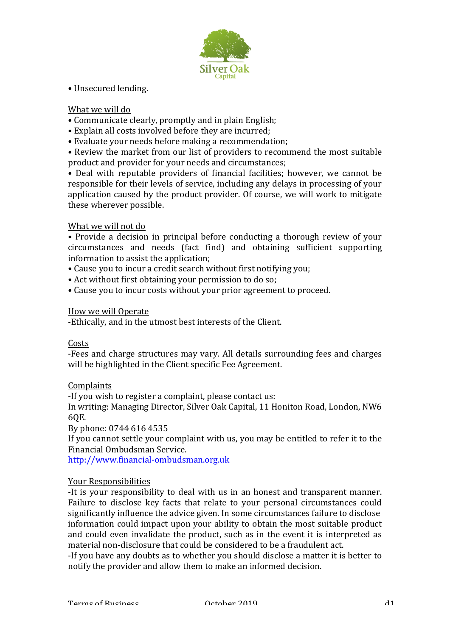

# • Unsecured lending.

#### What we will do

- Communicate clearly, promptly and in plain English;
- Explain all costs involved before they are incurred;
- Evaluate your needs before making a recommendation;

• Review the market from our list of providers to recommend the most suitable product and provider for your needs and circumstances;

• Deal with reputable providers of financial facilities; however, we cannot be responsible for their levels of service, including any delays in processing of your application caused by the product provider. Of course, we will work to mitigate these wherever possible.

#### What we will not do

• Provide a decision in principal before conducting a thorough review of vour circumstances and needs (fact find) and obtaining sufficient supporting information to assist the application;

- Cause you to incur a credit search without first notifying you;
- Act without first obtaining your permission to do so;
- Cause you to incur costs without your prior agreement to proceed.

#### How we will Operate

-Ethically, and in the utmost best interests of the Client.

#### Costs

-Fees and charge structures may vary. All details surrounding fees and charges will be highlighted in the Client specific Fee Agreement.

#### Complaints

-If you wish to register a complaint, please contact us:

In writing: Managing Director, Silver Oak Capital, 11 Honiton Road, London, NW6 6QE.

By phone: 0744 616 4535

If you cannot settle your complaint with us, you may be entitled to refer it to the Financial Ombudsman Service.

http://www.financial-ombudsman.org.uk

#### Your Responsibilities

-It is your responsibility to deal with us in an honest and transparent manner. Failure to disclose key facts that relate to your personal circumstances could significantly influence the advice given. In some circumstances failure to disclose information could impact upon your ability to obtain the most suitable product and could even invalidate the product, such as in the event it is interpreted as material non-disclosure that could be considered to be a fraudulent act.

-If you have any doubts as to whether you should disclose a matter it is better to notify the provider and allow them to make an informed decision.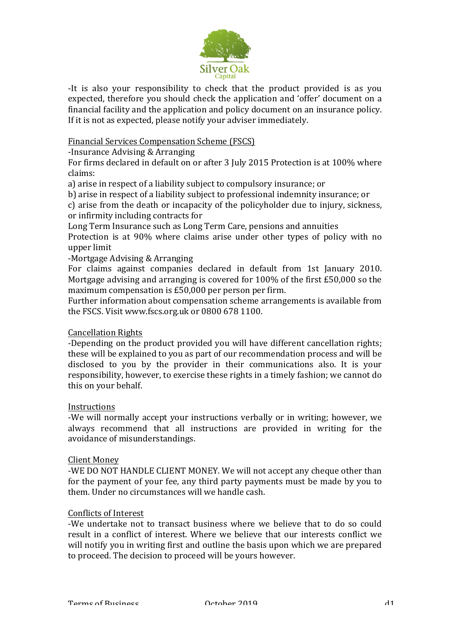

-It is also your responsibility to check that the product provided is as you expected, therefore you should check the application and 'offer' document on a financial facility and the application and policy document on an insurance policy. If it is not as expected, please notify your adviser immediately.

## Financial Services Compensation Scheme (FSCS)

-Insurance Advising & Arranging

For firms declared in default on or after 3 July 2015 Protection is at 100% where claims:

a) arise in respect of a liability subject to compulsory insurance; or

b) arise in respect of a liability subject to professional indemnity insurance; or

c) arise from the death or incapacity of the policyholder due to injury, sickness, or infirmity including contracts for

Long Term Insurance such as Long Term Care, pensions and annuities

Protection is at 90% where claims arise under other types of policy with no upper limit

#### -Mortgage Advising & Arranging

For claims against companies declared in default from 1st January 2010. Mortgage advising and arranging is covered for  $100\%$  of the first £50,000 so the maximum compensation is  $£50,000$  per person per firm.

Further information about compensation scheme arrangements is available from the FSCS. Visit www.fscs.org.uk or 0800 678 1100.

#### Cancellation Rights

-Depending on the product provided you will have different cancellation rights; these will be explained to you as part of our recommendation process and will be disclosed to you by the provider in their communications also. It is your responsibility, however, to exercise these rights in a timely fashion; we cannot do this on your behalf.

#### Instructions

-We will normally accept your instructions verbally or in writing; however, we always recommend that all instructions are provided in writing for the avoidance of misunderstandings.

#### **Client Money**

-WE DO NOT HANDLE CLIENT MONEY. We will not accept any cheque other than for the payment of your fee, any third party payments must be made by you to them. Under no circumstances will we handle cash.

#### Conflicts of Interest

-We undertake not to transact business where we believe that to do so could result in a conflict of interest. Where we believe that our interests conflict we will notify you in writing first and outline the basis upon which we are prepared to proceed. The decision to proceed will be yours however.